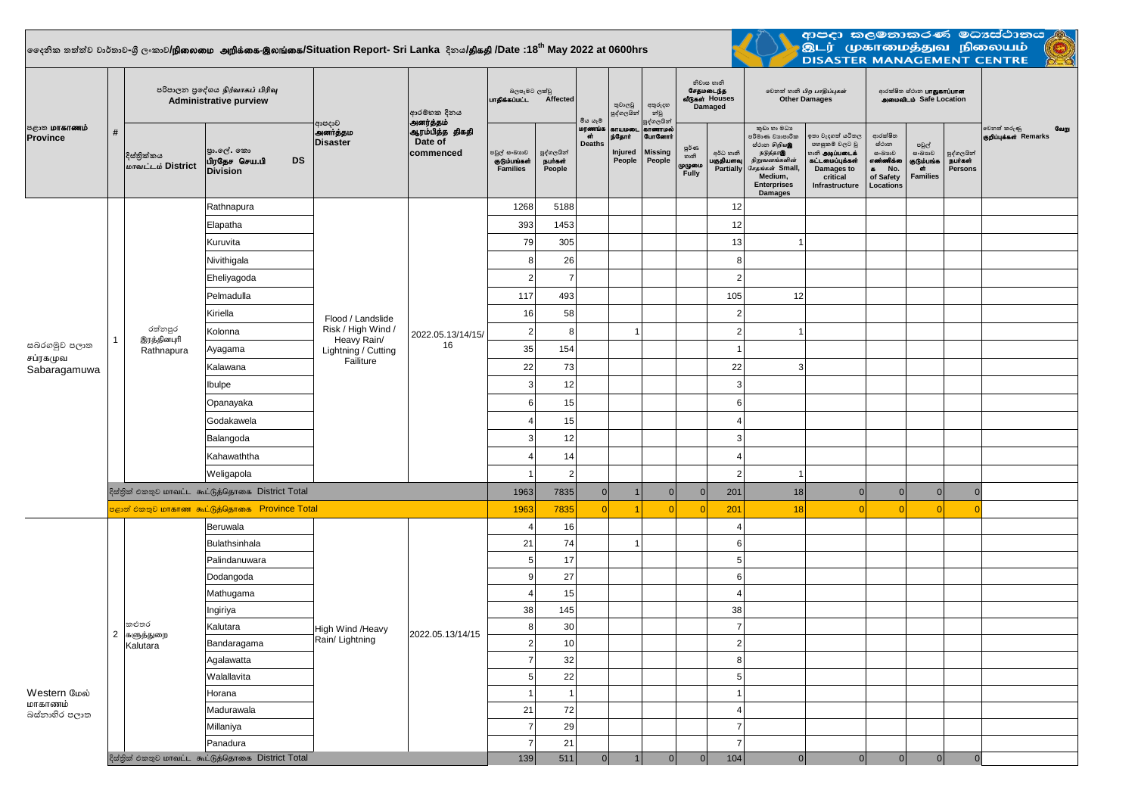## $\vert$ ලෛදනික තත්ත්ව වාර්තාව-ශී ලංකාව**/நிலைமை அறிக்கை-இலங்கை/Situation Report- Sri Lanka දිනය<b>/திகதி /D**ate :18<sup>th</sup> May 2022 at 0600hrs

<u>a mata</u>



| ் ஐ <b>ை மாகாணம்</b><br><b>Province</b>  |                                                   | පරිපාලන පුදේශය நிர்வாகப் பிரிவு<br><b>Administrative purview</b> |                                                             |                                                                                            | ආරම්භක දිනය<br>அனர்த்தம்                |                                                 |                                                                                                                                                                                                                                                                            | මිය යෑම                       | තුවාලවු<br>පුද්ගලයින්                        | අතුරුදහ<br>න්වූ<br>පුද්ගලයින්                           |                                          | නිවාස හානි<br>சேதமடைந்த<br>வீடுகள் Houses<br>Damaged | லூவ் லகி பிற பாதிப்புகள்<br><b>Other Damages</b>                                                                                                  |                                                                                                                                 | ආරක්ෂිත ස්ථාන <b>LIT துகாப்பான</b><br>அமைவிடம் Safe Location                          |                                                  |                                         |                                              |
|------------------------------------------|---------------------------------------------------|------------------------------------------------------------------|-------------------------------------------------------------|--------------------------------------------------------------------------------------------|-----------------------------------------|-------------------------------------------------|----------------------------------------------------------------------------------------------------------------------------------------------------------------------------------------------------------------------------------------------------------------------------|-------------------------------|----------------------------------------------|---------------------------------------------------------|------------------------------------------|------------------------------------------------------|---------------------------------------------------------------------------------------------------------------------------------------------------|---------------------------------------------------------------------------------------------------------------------------------|---------------------------------------------------------------------------------------|--------------------------------------------------|-----------------------------------------|----------------------------------------------|
|                                          | #                                                 | දිස්තික්කය<br>மாவட்டம் District                                  | පුා.ලේ. කො<br><b>DS</b><br>பிரதேச செய.பி<br><b>Division</b> | ආපදාව<br>அனர்த்தம<br><b>Disaster</b>                                                       | ஆரம்பித்த திகதி<br>Date of<br>commenced | පවුල් සංඛාගව<br>குடும்பங்கள்<br><b>Families</b> | පුද්ගලයින්<br>நபர்கள்<br>People                                                                                                                                                                                                                                            | மரணங்க<br>ள்<br><b>Deaths</b> | காயமலை<br>ந்தோர்<br><b>Injured</b><br>People | காணாமல்<br><b>GunGernit</b><br><b>Missing</b><br>People | <b>පූර්</b> ණ<br>හානි<br>முழுமை<br>Fully | අර්ධ හානි<br>பகுதியளவு<br> Partially                 | කුඩා හා මධා<br>පරිමාණ වාාපාරික<br>ස්ථාන හිறியஇ<br>நடுத்தரஇ<br>நிறுவனங்களின்<br>சேதங்கள் Small,<br>Medium,<br><b>Enterprises</b><br><b>Damages</b> | ඉතා වැදගත් යටිතල<br>පහසුකම් වලට වූ<br>ைகி <b>அடிப்படைக்</b><br>.<br>கட்டமைப்புக்கள்<br>Damages to<br>critical<br>Infrastructure | ආරක්ෂිත<br>ස්ථාන<br>ස∘බාහව<br>எண்ணிக்கை<br>No.<br>$\bullet$<br>of Safety<br>Locations | පවුල්<br>සංඛාාාව<br>குடும்பங்க<br>ां<br>Families | පුද්ගලයින්<br><b>நபர்கள்</b><br>Persons | வேறு<br>වෙනත් කරුණු<br>குறிப்புக்கள் Remarks |
|                                          |                                                   |                                                                  | Rathnapura                                                  | Flood / Landslide<br>Risk / High Wind /<br>Heavy Rain/<br>Lightning / Cutting<br>Failiture |                                         | 1268                                            | 5188                                                                                                                                                                                                                                                                       |                               |                                              |                                                         |                                          | 12                                                   |                                                                                                                                                   |                                                                                                                                 |                                                                                       |                                                  |                                         |                                              |
| සබරගමුව පලාත<br>சப்ரகமுவ<br>Sabaragamuwa |                                                   | රත්නපුර<br>இரத்தினபுரி<br>Rathnapura                             | Elapatha                                                    |                                                                                            |                                         | 393                                             | 1453                                                                                                                                                                                                                                                                       |                               |                                              |                                                         |                                          | 12                                                   |                                                                                                                                                   |                                                                                                                                 |                                                                                       |                                                  |                                         |                                              |
|                                          |                                                   |                                                                  | Kuruvita                                                    |                                                                                            |                                         | 79                                              | 305                                                                                                                                                                                                                                                                        |                               |                                              |                                                         |                                          | 13                                                   |                                                                                                                                                   |                                                                                                                                 |                                                                                       |                                                  |                                         |                                              |
|                                          |                                                   |                                                                  | Nivithigala                                                 |                                                                                            |                                         | 8                                               | 26                                                                                                                                                                                                                                                                         |                               |                                              |                                                         |                                          | 8                                                    |                                                                                                                                                   |                                                                                                                                 |                                                                                       |                                                  |                                         |                                              |
|                                          |                                                   |                                                                  | Eheliyagoda                                                 |                                                                                            |                                         | $\overline{2}$                                  | 7                                                                                                                                                                                                                                                                          |                               |                                              |                                                         |                                          | $\overline{2}$                                       |                                                                                                                                                   |                                                                                                                                 |                                                                                       |                                                  |                                         |                                              |
|                                          |                                                   |                                                                  | Pelmadulla                                                  |                                                                                            |                                         | 117                                             | 493                                                                                                                                                                                                                                                                        |                               |                                              |                                                         |                                          | 105                                                  | 12                                                                                                                                                |                                                                                                                                 |                                                                                       |                                                  |                                         |                                              |
|                                          |                                                   |                                                                  | Kiriella                                                    |                                                                                            |                                         | 16                                              | 58                                                                                                                                                                                                                                                                         |                               |                                              |                                                         |                                          | $\overline{2}$                                       |                                                                                                                                                   |                                                                                                                                 |                                                                                       |                                                  |                                         |                                              |
|                                          |                                                   |                                                                  | Kolonna                                                     |                                                                                            | 2022.05.13/14/15/                       | $\mathbf{2}$                                    | 8                                                                                                                                                                                                                                                                          |                               |                                              |                                                         |                                          | $\overline{c}$                                       |                                                                                                                                                   |                                                                                                                                 |                                                                                       |                                                  |                                         |                                              |
|                                          |                                                   |                                                                  | Ayagama                                                     |                                                                                            | 16                                      | 35                                              | 154                                                                                                                                                                                                                                                                        |                               |                                              |                                                         |                                          | $\overline{1}$                                       |                                                                                                                                                   |                                                                                                                                 |                                                                                       |                                                  |                                         |                                              |
|                                          |                                                   |                                                                  | Kalawana                                                    |                                                                                            |                                         |                                                 | 73                                                                                                                                                                                                                                                                         |                               |                                              |                                                         |                                          |                                                      | 3                                                                                                                                                 |                                                                                                                                 |                                                                                       |                                                  |                                         |                                              |
|                                          |                                                   |                                                                  | Ibulpe                                                      |                                                                                            |                                         |                                                 | 12                                                                                                                                                                                                                                                                         |                               |                                              |                                                         |                                          |                                                      |                                                                                                                                                   |                                                                                                                                 |                                                                                       |                                                  |                                         |                                              |
|                                          |                                                   |                                                                  | Opanayaka                                                   |                                                                                            |                                         |                                                 | 22<br>22<br>3<br>3<br>6 <sup>1</sup><br>6<br>15<br>15<br>$\overline{4}$<br>$\overline{4}$<br>3 <sup>1</sup><br>12<br>3<br>$\overline{4}$<br>14<br>$\overline{4}$<br>$\overline{2}$<br>$\mathbf{1}$<br>$\overline{2}$<br>1963<br>7835<br> 0 <br>$\overline{0}$<br>201<br> 0 |                               |                                              |                                                         |                                          |                                                      |                                                                                                                                                   |                                                                                                                                 |                                                                                       |                                                  |                                         |                                              |
|                                          |                                                   |                                                                  | Godakawela                                                  |                                                                                            |                                         |                                                 |                                                                                                                                                                                                                                                                            |                               |                                              |                                                         |                                          |                                                      |                                                                                                                                                   |                                                                                                                                 |                                                                                       |                                                  |                                         |                                              |
|                                          |                                                   |                                                                  | Balangoda                                                   |                                                                                            |                                         |                                                 |                                                                                                                                                                                                                                                                            |                               |                                              |                                                         |                                          |                                                      |                                                                                                                                                   |                                                                                                                                 |                                                                                       |                                                  |                                         |                                              |
|                                          |                                                   |                                                                  | Kahawaththa                                                 |                                                                                            |                                         |                                                 |                                                                                                                                                                                                                                                                            |                               |                                              |                                                         |                                          |                                                      |                                                                                                                                                   |                                                                                                                                 |                                                                                       |                                                  |                                         |                                              |
|                                          |                                                   |                                                                  | Weligapola                                                  |                                                                                            |                                         |                                                 |                                                                                                                                                                                                                                                                            |                               |                                              |                                                         |                                          |                                                      |                                                                                                                                                   |                                                                                                                                 |                                                                                       |                                                  |                                         |                                              |
|                                          | දිස්තික් එකතුව மாவட்ட கூட்டுத்தொகை District Total |                                                                  |                                                             |                                                                                            |                                         |                                                 |                                                                                                                                                                                                                                                                            |                               |                                              |                                                         |                                          |                                                      | 18                                                                                                                                                | $\Omega$                                                                                                                        | 0                                                                                     | 0                                                | $\Omega$                                |                                              |
|                                          | පළාත් එකතුව மாகாண கூட்டுத்தொகை Province Total     |                                                                  |                                                             |                                                                                            |                                         |                                                 | 7835                                                                                                                                                                                                                                                                       | $\Omega$                      |                                              | $\Omega$                                                | $\Omega$                                 | 201                                                  | 18                                                                                                                                                |                                                                                                                                 | $\Omega$                                                                              | $\overline{0}$                                   |                                         |                                              |
|                                          |                                                   | කළුතර<br>களுத்துறை<br>Kalutara                                   | Beruwala                                                    | High Wind /Heavy<br>Rain/ Lightning                                                        |                                         | $\overline{4}$                                  | 16                                                                                                                                                                                                                                                                         |                               |                                              |                                                         |                                          | $\overline{4}$                                       |                                                                                                                                                   |                                                                                                                                 |                                                                                       |                                                  |                                         |                                              |
| Western மேல்<br>மாகாணம்<br>බස්තාහිර පලාත |                                                   |                                                                  | <b>Bulathsinhala</b>                                        |                                                                                            |                                         | 21                                              | 74                                                                                                                                                                                                                                                                         |                               | 1                                            |                                                         |                                          | 6                                                    |                                                                                                                                                   |                                                                                                                                 |                                                                                       |                                                  |                                         |                                              |
|                                          |                                                   |                                                                  | Palindanuwara                                               |                                                                                            |                                         | 5 <sup>1</sup>                                  | 17                                                                                                                                                                                                                                                                         |                               |                                              |                                                         |                                          | 5                                                    |                                                                                                                                                   |                                                                                                                                 |                                                                                       |                                                  |                                         |                                              |
|                                          |                                                   |                                                                  | Dodangoda                                                   |                                                                                            |                                         | 9                                               | 27                                                                                                                                                                                                                                                                         |                               |                                              |                                                         |                                          | $\,6\,$                                              |                                                                                                                                                   |                                                                                                                                 |                                                                                       |                                                  |                                         |                                              |
|                                          |                                                   |                                                                  | Mathugama                                                   |                                                                                            |                                         | $\overline{4}$                                  | 15                                                                                                                                                                                                                                                                         |                               |                                              |                                                         |                                          | $\overline{4}$                                       |                                                                                                                                                   |                                                                                                                                 |                                                                                       |                                                  |                                         |                                              |
|                                          |                                                   |                                                                  | Ingiriya                                                    |                                                                                            |                                         | 38                                              | 145                                                                                                                                                                                                                                                                        |                               |                                              |                                                         |                                          | 38                                                   |                                                                                                                                                   |                                                                                                                                 |                                                                                       |                                                  |                                         |                                              |
|                                          | $2^{\circ}$                                       |                                                                  | Kalutara                                                    |                                                                                            | 2022.05.13/14/15                        | 8                                               | 30                                                                                                                                                                                                                                                                         |                               |                                              |                                                         |                                          | $\overline{7}$<br>$\overline{2}$                     |                                                                                                                                                   |                                                                                                                                 |                                                                                       |                                                  |                                         |                                              |
|                                          |                                                   |                                                                  | Bandaragama                                                 |                                                                                            |                                         | $2\vert$<br>$\overline{7}$                      | 10<br>32                                                                                                                                                                                                                                                                   |                               |                                              |                                                         |                                          | $\,8\,$                                              |                                                                                                                                                   |                                                                                                                                 |                                                                                       |                                                  |                                         |                                              |
|                                          |                                                   |                                                                  | Agalawatta<br>Walallavita                                   |                                                                                            |                                         | 5 <sup>1</sup>                                  | 22                                                                                                                                                                                                                                                                         |                               |                                              |                                                         |                                          | $\overline{5}$                                       |                                                                                                                                                   |                                                                                                                                 |                                                                                       |                                                  |                                         |                                              |
|                                          |                                                   |                                                                  | Horana                                                      |                                                                                            |                                         | $\overline{1}$                                  |                                                                                                                                                                                                                                                                            |                               |                                              |                                                         |                                          | $\overline{1}$                                       |                                                                                                                                                   |                                                                                                                                 |                                                                                       |                                                  |                                         |                                              |
|                                          |                                                   |                                                                  | Madurawala                                                  |                                                                                            |                                         | 21                                              | 72                                                                                                                                                                                                                                                                         |                               |                                              |                                                         |                                          | $\overline{4}$                                       |                                                                                                                                                   |                                                                                                                                 |                                                                                       |                                                  |                                         |                                              |
|                                          |                                                   |                                                                  | Millaniya                                                   |                                                                                            |                                         | $\overline{7}$                                  | 29                                                                                                                                                                                                                                                                         |                               |                                              |                                                         |                                          | $\overline{7}$                                       |                                                                                                                                                   |                                                                                                                                 |                                                                                       |                                                  |                                         |                                              |
|                                          |                                                   |                                                                  | Panadura                                                    |                                                                                            |                                         | $\overline{7}$                                  | 21                                                                                                                                                                                                                                                                         |                               |                                              |                                                         |                                          | $\overline{7}$                                       |                                                                                                                                                   |                                                                                                                                 |                                                                                       |                                                  |                                         |                                              |
|                                          |                                                   | දිස්තික් එකතුව மாவட்ட கூட்டுத்தொகை District Total                |                                                             |                                                                                            |                                         |                                                 | 511                                                                                                                                                                                                                                                                        | 0                             |                                              | 0                                                       | $\mathbf{0}$                             | 104                                                  | $\Omega$                                                                                                                                          | $\Omega$                                                                                                                        | 0                                                                                     | 0                                                | $\Omega$                                |                                              |